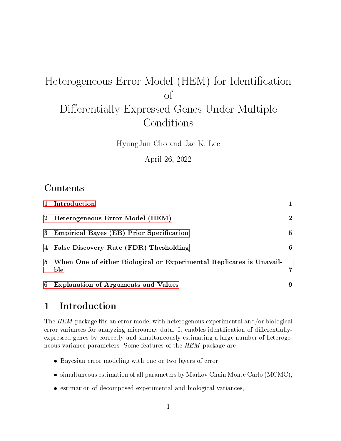# Heterogeneous Error Model (HEM) for Identification of Differentially Expressed Genes Under Multiple Conditions

HyungJun Cho and Jae K. Lee

April 26, 2022

# Contents

|             | 1 Introduction                                                              |                |
|-------------|-----------------------------------------------------------------------------|----------------|
| $2^{\circ}$ | Heterogeneous Error Model (HEM)                                             | $\overline{2}$ |
| 3           | <b>Empirical Bayes (EB) Prior Specification</b>                             | $\mathbf{5}$   |
| 4           | False Discovery Rate (FDR) Thesholding                                      | 6              |
| 5           | When One of either Biological or Experimental Replicates is Unavail-<br>ble |                |
| 6           | <b>Explanation of Arguments and Values</b>                                  | 9              |

# <span id="page-0-0"></span>1 Introduction

The HEM package fits an error model with heterogenous experimental and/or biological error variances for analyzing microarray data. It enables identification of differentiallyexpressed genes by correctly and simultaneously estimating a large number of heterogeneous variance parameters. Some features of the HEM package are

- Bayesian error modeling with one or two layers of error,
- simultaneous estimation of all parameters by Markov Chain Monte Carlo (MCMC),
- estimation of decomposed experimental and biological variances,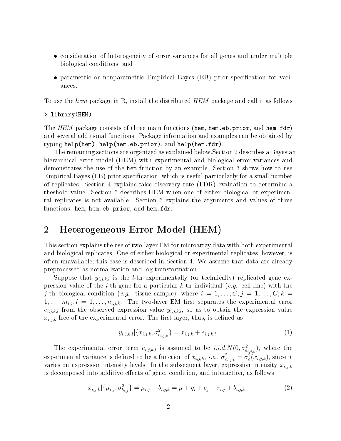- consideration of heterogeneity of error variances for all genes and under multiple biological conditions, and
- parametric or nonparametric Empirical Bayes (EB) prior specification for variances.

To use the hem package in R, install the distributed  $HEM$  package and call it as follows

#### > library(HEM)

The  $HEM$  package consists of three main functions (hem, hem.eb.prior, and hem.fdr) and several additional functions. Package information and examples can be obtained by typing help(hem), help(hem.eb.prior), and help(hem.fdr).

The remaining sections are organized as explained below.Section 2 describes a Bayesian hierarchical error model (HEM) with experimental and biological error variances and demonstrates the use of the hem function by an example. Section 3 shows how to use Empirical Bayes (EB) prior specification, which is useful particularly for a small number of replicates. Section 4 explains false discovery rate (FDR) evaluation to determine a theshold value. Section 5 describes HEM when one of either biological or experimental replicates is not available. Section 6 explains the arguments and values of three functions: hem, hem.eb.prior, and hem.fdr.

#### <span id="page-1-0"></span>2 Heterogeneous Error Model (HEM)

This section explains the use of two-layer EM for microarray data with both experimental and biological replicates. One of either biological or experimental replicates, however, is often unavailable; this case is described in Section 4. We assume that data are already preprocessed as normalization and log-transformation.

Suppose that  $y_{i,j,k,l}$  is the *l*-th experimentally (or technically) replicated gene expression value of the *i*-th gene for a particular k-th individual (e.g. cell line) with the j-th biological condition (e.g. tissue sample), where  $i = 1, \ldots, G; j = 1, \ldots, C; k =$  $1, \ldots, m_{i,j}; l = 1, \ldots, n_{i,j,k}.$  The two-layer EM first separates the experimental error  $e_{i,j,k,l}$  from the observed expression value  $y_{i,j,k,l}$ , so as to obtain the expression value  $x_{i,j,k}$  free of the experimental error. The first layer, thus, is defined as

$$
y_{i,j,k,l}|\{x_{i,j,k}, \sigma^2_{e_{i,j,k}}\} = x_{i,j,k} + e_{i,j,k,l}.
$$
 (1)

The experimental error term  $e_{i,j,k,l}$  is assumed to be  $i.i.d.N(0, \sigma_{e_{i,j,k}}^2)$ , where the experimental variance is defined to be a function of  $x_{i,j,k}$ , i.e.,  $\sigma_{e_{i,j,k}}^2 = \sigma_e^2(x_{i,j,k})$ , since it varies on expression intensity levels. In the subsequent layer, expression intensity  $x_{i,j,k}$ is decomposed into additive effects of gene, condition, and interaction, as follows

$$
x_{i,j,k}|\{\mu_{i,j},\sigma_{b_{i,j}}^2\} = \mu_{i,j} + b_{i,j,k} = \mu + g_i + c_j + r_{i,j} + b_{i,j,k},
$$
\n(2)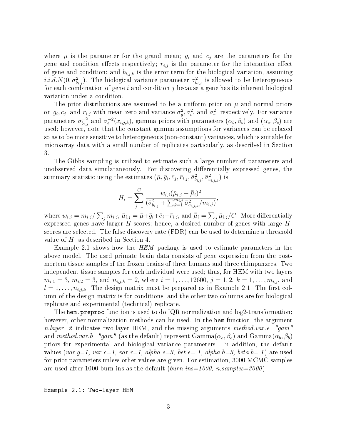where  $\mu$  is the parameter for the grand mean;  $g_i$  and  $c_j$  are the parameters for the gene and condition effects respectively;  $r_{i,j}$  is the parameter for the interaction effect of gene and condition; and  $b_{i,j,k}$  is the error term for the biological variation, assuming  $i.i.d. N(0, \sigma_{b_{i,j}}^2)$ . The biological variance parameter  $\sigma_{b_{i,j}}^2$  is allowed to be heterogeneous for each combination of gene  $i$  and condition  $j$  because a gene has its inherent biological variation under a condition.

The prior distributions are assumed to be a uniform prior on  $\mu$  and normal priors on  $g_i, c_j$ , and  $r_{i,j}$  with mean zero and variance  $\sigma_g^2, \sigma_c^2$ , and  $\sigma_r^2$ , respectively. For variance parameters  $\sigma_{b_{i,j}}^{-2}$  $\sigma_e^{-2}$  and  $\sigma_e^{-2}(x_{i,j,k})$ , gamma priors with parameters  $(\alpha_b, \beta_b)$  and  $(\alpha_e, \beta_e)$  are used; however, note that the constant gamma assumptions for variances can be relaxed so as to be more sensitive to heterogeneous (non-constant) variances, which is suitable for microarray data with a small number of replicates particularly, as described in Section 3.

The Gibbs sampling is utilized to estimate such a large number of parameters and unobserved data simulataneously. For discovering differentially expressed genes, the summary statistic using the estimates  $(\bar{\mu}, \bar{g}_i, \bar{c}_j, \bar{r}_{i,j}, \bar{\sigma}^2_{b_{i,j}}, \bar{\sigma}^2_{e_{i,j,k}})$  is

$$
H_i = \sum_{j=1}^{C} \frac{w_{i,j} (\bar{\mu}_{i,j} - \bar{\bar{\mu}}_i)^2}{(\bar{\sigma}_{b_{i,j}}^2 + \sum_{k=1}^{m_{i,j}} \bar{\sigma}_{e_{i,j,k}}^2 / m_{i,j})},
$$

where  $w_{i,j}=m_{i,j}/\sum_j m_{i,j}$  ,  $\bar{\mu}_{i,j}=\bar{\mu}+\bar{g}_i+\bar{c}_j+\bar{r}_{i,j}$ , and  $\bar{\bar{\mu}}_i=\sum_j \bar{\mu}_{i,j}/C$ . More differentially expressed genes have larger  $H$ -scores; hence, a desired number of genes with large  $H$ scores are selected. The false discovery rate (FDR) can be used to determine a threshold value of H, as described in Section 4.

Example 2.1 shows how the HEM package is used to estimate parameters in the above model. The used primate brain data consists of gene expression from the postmortem tissue samples of the frozen brains of three humans and three chimpanzees. Two independent tissue samples for each individual were used; thus, for HEM with two layers  $m_{i,1} = 3, m_{i,2} = 3, \text{ and } n_{i,j,k} = 2, \text{ where } i = 1, \ldots, 12600, j = 1, 2, k = 1, \ldots, m_{i,j}, \text{ and}$  $l = 1, \ldots, n_{i,j,k}$ . The design matrix must be prepared as in Example 2.1. The first column of the design matrix is for conditions, and the other two columns are for biological replicate and experimental (technical) replicate.

The hem.preproc function is used to do IQR normalization and log2-transformation; however, other normalization methods can be used. In the hem function, the argument n.layer=2 indicates two-layer HEM, and the missing arguments method.var.e="gam" and method.var.b="gam" (as the default) represent Gamma $(\alpha_e,\beta_e)$  and Gamma $(\alpha_b,\beta_b)$ priors for experimental and biological variance parameters. In addition, the default values (var.q=1, var.c=1, var.r=1, alpha.e=3, bet.e=.1, alpha.b=3, beta.b=.1) are used for prior parameters unless other values are given. For estimation, 3000 MCMC samples are used after 1000 burn-ins as the default  $(burn-ins=1000, n.samples=3000)$ .

Example 2.1: Two-layer HEM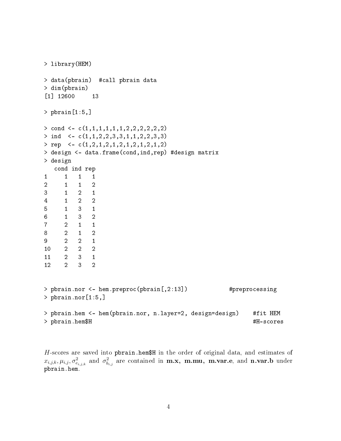```
> library(HEM)
> data(pbrain) #call pbrain data
> dim(pbrain)
[1] 12600 13
> pbrain[1:5,]
> cond \leq c(1,1,1,1,1,1,2,2,2,2,2,2)
> ind <- c(1,1,2,2,3,3,1,1,2,2,3,3)
> rep <- c(1,2,1,2,1,2,1,2,1,2,1,2)
> design <- data.frame(cond,ind,rep) #design matrix
> design
  cond ind rep
1 1 1 1
2 1 1 2
3 1 2 1
4 1 2 2
5 1 3 1
6 1 3 2
7 2 1 1
8 2 1 2
9 2 2 1
10 2 2 2
11 2 3 1
12 2 3 2
> pbrain.nor <- hem.preproc(pbrain[,2:13]) #preprocessing
> pbrain.nor[1:5,]
> pbrain.hem <- hem(pbrain.nor, n.layer=2, design=design) #fit HEM
> pbrain.hem$H \#H-scores
```
 $H$ -scores are saved into pbrain.hem\$H in the order of original data, and estimates of  $x_{i,j,k}, \mu_{i,j}, \sigma^2_{e_{i,j,k}}$  and  $\sigma^2_{b_{i,j}}$  are contained in  $\textbf{m.x, m.mu, m.var.e, and n.var.b under}$ pbrain.hem.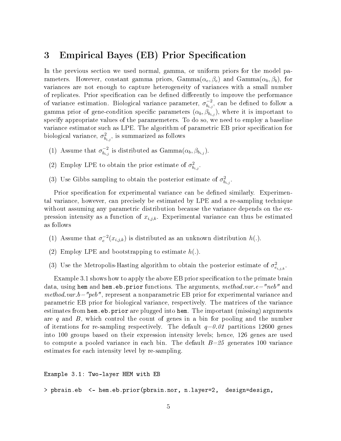#### <span id="page-4-0"></span>3 Empirical Bayes (EB) Prior Specification

In the previous section we used normal, gamma, or uniform priors for the model parameters. However, constant gamma priors,  $Gamma(\alpha_e, \beta_e)$  and  $Gamma(\alpha_b, \beta_b)$ , for variances are not enough to capture heterogeneity of variances with a small number of replicates. Prior specification can be defined differently to improve the performance of variance estimation. Biological variance parameter,  $\sigma_{ba}^{-2}$  $\bar{b}_{b_{i,j}}^{-2}$ , can be defined to follow a gamma prior of gene-condition specific parameters  $(\alpha_b, \beta_{b_{i,j}})$ , where it is important to specify appropriate values of the paramemeters. To do so, we need to employ a baseline variance estimator such as LPE. The algorithm of parametric EB prior specification for biological variance,  $\sigma_{b_{i,j}}^2$ , is summarized as follows

- (1) Assume that  $\sigma_{h,i}^{-2}$  $\bar{b}_{b_{i,j}}^{-2}$  is distributed as  $\text{Gamma}(\alpha_{b}, \beta_{b_{i,j}})$ .
- (2) Employ LPE to obtain the prior estimate of  $\sigma_{b_{i,j}}^2$ .
- (3) Use Gibbs sampling to obtain the posterior estimate of  $\sigma_{b_{i,j}}^2$ .

Prior specification for experimental variance can be defined similarly. Experimental variance, however, can precisely be estimated by LPE and a re-sampling technique without assuming any parametric distribution because the variance depends on the expression intensity as a function of  $x_{i,j,k}$ . Experimental variance can thus be estimated as follows

- (1) Assume that  $\sigma_e^{-2}(x_{i,j,k})$  is distributed as an unknown distribution  $h(.)$ .
- (2) Employ LPE and bootstrapping to estimate  $h(.)$ .
- (3) Use the Metropolis-Hasting algorithm to obtain the posterior estimate of  $\sigma_{e_{i,j,k}}^2$ .

Example 3.1 shows how to apply the above EB prior specification to the primate brain data, using hem and hem.eb.prior functions. The arguments,  $method.var.e="neb"$  and *method.var.b*="peb", represent a nonparametric EB prior for experimental variance and parametric EB prior for biological variance, respectively. The matrices of the variance estimates from hem.eb.prior are plugged into hem. The important (missing) arguments are q and  $B$ , which control the count of genes in a bin for pooling and the number of iterations for re-sampling respectively. The default  $q=0.01$  partitions 12600 genes into 100 groups based on their expression intensity levels; hence, 126 genes are used to compute a pooled variance in each bin. The default  $B=\mathfrak{g}_2$  generates 100 variance estimates for each intensity level by re-sampling.

Example 3.1: Two-layer HEM with EB > pbrain.eb <- hem.eb.prior(pbrain.nor, n.layer=2, design=design,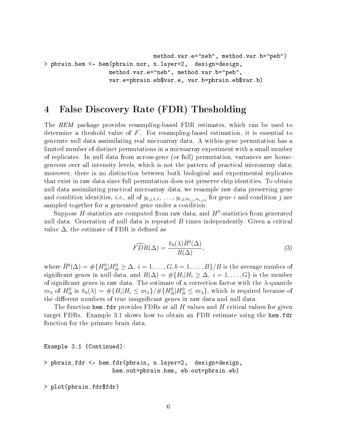method.var.e="neb", method.var.b="peb") > pbrain.hem <- hem(pbrain.nor, n.layer=2, design=design, method.var.e="neb", method.var.b="peb", var.e=pbrain.eb\$var.e, var.b=pbrain.eb\$var.b)

### <span id="page-5-0"></span>4 False Discovery Rate (FDR) Thesholding

The HEM package provides resampling-based FDR estimates, which can be used to determine a theshold value of  $F$ . For resampling-based estimation, it is essential to generate null data assimilating real microarray data. A within-gene permutation has a limited number of distinct permutations in a microarray experiment with a small number of replicates. In null data from across-gene (or full) permutation, variances are homogeneous over all intensity levels, which is not the pattern of practical microarray data; moreover, there is no distinction between both biological and experimental replicates that exist in raw data since full permutation does not preserve chip identities. To obtain null data assimilating practical microarray data, we resample raw data preserving gene and condition identities, *i.e.*, all of  $y_{i,j,1,1}, \ldots, y_{i,j,m_{i,j},n_{i,j,k}}$  for gene *i* and condition *j* are sampled together for a generated gene under a condition.

Suppose  $H$ -statistics are computed from raw data, and  $H^0$ -statistics from generated null data. Generation of null data is repeated  $B$  times independently. Given a critical value  $\Delta$ , the estimate of FDR is defined as

$$
\widehat{FDR}(\Delta) = \frac{\hat{\pi}_0(\lambda)\bar{R}^0(\Delta)}{R(\Delta)},\tag{3}
$$

where  $\bar{R}^0(\Delta) = \#\{H^0_{ib}| H^0_{ib} \geq \Delta, \ i = 1, \ldots, G, b = 1, \ldots, B\}/B$  is the average number of significant genes in null data, and  $R(\Delta) = \#\{H_i | H_i \geq \Delta, \ i = 1, \ldots, G\}$  is the number of significant genes in raw data. The estimate of a correction factor with the  $\lambda$ -quantile  $m_\lambda$  of  $H^0_{ib}$  is  $\hat{\pi}_0(\lambda) = \#\{H_i | H_i \leq m_\lambda\}/\#\{H^0_{ib} | H^0_{ib} \leq m_\lambda\}$ , which is required because of the different numbers of true insignificant genes in raw data and null data.

The function hem. fdr provides FDRs at all  $H$  values and  $H$  critical values for given target FDRs. Example 3.1 shows how to obtain an FDR estimate using the hem.fdr function for the primate brain data.

Example 3.1 (Continued):

```
> pbrain.fdr <- hem.fdr(pbrain, n.layer=2, design=design,
                   hem.out=pbrain.hem, eb.out=pbrain.eb)
```
> plot(pbrain.fdr\$fdr)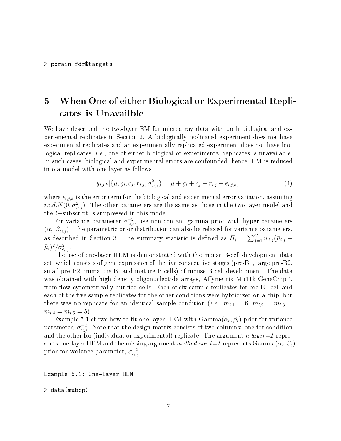# <span id="page-6-0"></span>5 When One of either Biological or Experimental Replicates is Unavailble

We have described the two-layer EM for microarray data with both biological and experiemental replicates in Section 2. A biologically-replicated experiment does not have experimental replicates and an experimentally-replicated experiment does not have biological replicates, *i.e.*, one of either biological or experimental replicates is unavailable. In such cases, biological and experimental errors are confounded; hence, EM is reduced into a model with one layer as follows

$$
y_{i,j,k}|\{\mu, g_i, c_j, r_{i,j}, \sigma_{\epsilon_{i,j}}^2\} = \mu + g_i + c_j + r_{i,j} + \epsilon_{i,j,k},
$$
\n(4)

where  $\epsilon_{i,j,k}$  is the error term for the biological and experimental error variation, assuming  $i.i.d. N(0, \sigma^2_{\epsilon_{i,j}})$ . The other parameters are the same as those in the two-layer model and the l−subscript is suppressed in this model.

For variance parameter  $\sigma_{\epsilon_{i,j}}^{-2}$ , use non-contant gamma prior with hyper-parameters  $(\alpha_{\epsilon}, \beta_{\epsilon_{i,j}})$ . The parametric prior distribution can also be relaxed for variance parameters, as described in Section 3. The summary statistic is defined as  $H_i = \sum_{j=1}^{C} w_{i,j} (\bar{\mu}_{i,j} (\bar{\bar{\mu}}_i)^2 / \bar{\sigma}_{\epsilon_{i,j}}^2$ .

The use of one-layer HEM is demonstrated with the mouse B-cell development data set, which consists of gene expression of the five consecutive stages (pre- $B1$ , large pre- $B2$ , small pre-B2, immature B, and mature B cells) of mouse B-cell development. The data was obtained with high-density oligonucleotide arrays, Affymetrix Mu11k GeneChip<sup> $\mathbb{M}$ </sup>. from flow-cytometrically purified cells. Each of six sample replicates for pre-B1 cell and each of the five sample replicates for the other conditions were hybridized on a chip, but there was no replicate for an identical sample condition (*i.e.*,  $m_{i,1} = 6, m_{i,2} = m_{i,3} =$  $m_{i,4} = m_{i,5} = 5$ .

Example 5.1 shows how to fit one-layer HEM with  $\mathrm{Gamma}(\alpha_\epsilon, \beta_\epsilon)$  prior for variance parameter,  $\sigma_{\epsilon_{i,j}}^{-2}$ . Note that the design matrix consists of two columns: one for condition and the other for (individual or experimental) replicate. The argument n.layer=1 represents one-layer HEM and the missing argument  $method.var.t {=}1$  represents  $\text{Gamma}(\alpha_\epsilon, \beta_\epsilon)$ prior for variance parameter,  $\sigma_{\epsilon_{i,j}}^{-2}$ .

Example 5.1: One-layer HEM

```
> data(mubcp)
```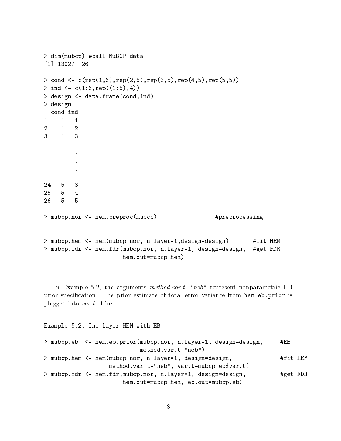```
> dim(mubcp) #call MuBCP data
[1] 13027 26
> cond <- c(rep(1,6),rep(2,5),rep(3,5),rep(4,5),rep(5,5))
> ind <- c(1:6,rep((1:5),4))
> design <- data.frame(cond,ind)
> design
 cond ind
1 1 1
2 1 2
3 1 3
. . .
. . .
. . .
24 5 3
25 5 4
26 5 5
> mubcp.nor <- hem.preproc(mubcp) #preprocessing
> mubcp.hem <- hem(mubcp.nor, n.layer=1,design=design) #fit HEM
> mubcp.fdr <- hem.fdr(mubcp.nor, n.layer=1, design=design, #get FDR
                    hem.out=mubcp.hem)
```
In Example 5.2, the arguments method.var.t="neb" represent nonparametric EB prior specification. The prior estimate of total error variance from hem.eb.prior is plugged into var.t of hem.

```
Example 5.2: One-layer HEM with EB
```

|  | > mubcp.eb <- hem.eb.prior(mubcp.nor, n.layer=1, design=design, | #EB      |  |
|--|-----------------------------------------------------------------|----------|--|
|  | $method.var.t="neb")$                                           |          |  |
|  | > mubcp.hem <- hem(mubcp.nor, n.layer=1, design=design,         | #fit HEM |  |
|  | method.var.t="neb", var.t=mubcp.eb $\gamma$ var.t)              |          |  |
|  | > mubcp.fdr <- hem.fdr(mubcp.nor, n.layer=1, design=design,     | #get FDR |  |
|  | hem.out=mubcp.hem, eb.out=mubcp.eb)                             |          |  |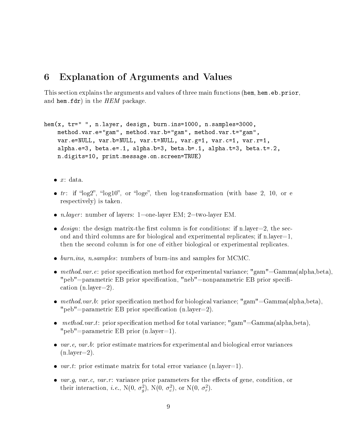#### <span id="page-8-0"></span>6 Explanation of Arguments and Values

This section explains the arguments and values of three main functions (hem, hem. eb. prior, and hem.fdr) in the  $HEM$  package.

```
hem(x, tr=" " , n.layer, design, burn.ins=1000, n.samples=3000,method.var.e="gam", method.var.b="gam", method.var.t="gam",
    var.e=NULL, var.b=NULL, var.t=NULL, var.g=1, var.c=1, var.r=1,
    alpha.e=3, beta.e=.1, alpha.b=3, beta.b=.1, alpha.t=3, beta.t=.2,
    n.digits=10, print.message.on.screen=TRUE)
```
- $\bullet$  x: data.
- $tr:$  if "log2", "log10", or "loge", then log-transformation (with base 2, 10, or e respectively) is taken.
- *n.layer*: number of layers: 1=one-layer EM; 2=two-layer EM.
- $\bullet$  design: the design matrix-the first column is for conditions: if n.layer=2, the second and third columns are for biological and experimental replicates; if  $n-layer=1$ . then the second column is for one of either biological or experimental replicates.
- $\bullet$  burn.ins, n.samples: numbers of burn-ins and samples for MCMC.
- $\bullet$  method.var.e: prior specification method for experimental variance; "gam"=Gamma(alpha,beta), "peb"=parametric EB prior specification, "neb"=nonparametric EB prior specification (n.layer=2).
- $\bullet$  method.var.b: prior specification method for biological variance; "gam"=Gamma(alpha,beta), "peb"=parametric EB prior specification  $(n.length)$ =2).
- method.var.t: prior specification method for total variance; "gam"=Gamma(alpha,beta), "peb"=parametric EB prior (n.layer=1).
- $\bullet$  var.e, var.b: prior estimate matrices for experimental and biological error variances (n.layer=2).
- var.t: prior estimate matrix for total error variance (n.layer=1).
- var.g, var.c, var.r: variance prior parameters for the effects of gene, condition, or their interaction, *i.e.*,  $N(0, \sigma_g^2)$ ,  $N(0, \sigma_c^2)$ , or  $N(0, \sigma_r^2)$ .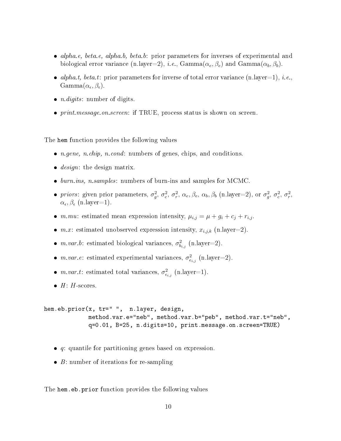- $alpha.e, beta.e, alpha.b, beta.b: prior parameters for inverses of experimental and$ biological error variance (n.layer=2), *i.e.*, Gamma( $\alpha_e, \beta_e$ ) and Gamma( $\alpha_b, \beta_b$ ).
- alpha.t, beta.t: prior parameters for inverse of total error variance (n.layer=1), *i.e.*,  $\text{Gamma}(\alpha_{\epsilon}, \beta_{\epsilon}).$
- $\bullet$  *n.digits*: number of digits.
- *print.message.on.screen*: if TRUE, process status is shown on screen.

The hem function provides the following values

- $n.gene, n.chip, n.config: numbers of genes, chips, and conditions.$
- $\bullet$  *design*: the design matrix.
- $\bullet$  burn.ins, n.samples: numbers of burn-ins and samples for MCMC.
- priors: given prior parameters,  $\sigma_g^2$ ,  $\sigma_c^2$ ,  $\sigma_r^2$ ,  $\alpha_e$ ,  $\beta_e$ ,  $\alpha_b$ ,  $\beta_b$  (n.layer=2), or  $\sigma_g^2$ ,  $\sigma_c^2$ ,  $\sigma_r^2$ ,  $\alpha_\epsilon, \beta_\epsilon \text{ (n-layer=1)}.$
- *m.mu*: estimated mean expression intensity,  $\mu_{i,j} = \mu + g_i + c_j + r_{i,j}$ .
- $m.x$ : estimated unobserved expression intensity,  $x_{i,j,k}$  (n.layer=2).
- m.var.b: estimated biological variances,  $\sigma_{b_{i,j}}^2$  (n.layer=2).
- m.var.e: estimated experimental variances,  $\sigma_{e_{i,j}}^2$  (n.layer=2).
- m.var.t: estimated total variances,  $\sigma_{\epsilon_{i,j}}^2$  (n.layer=1).
- $H$ :  $H$ -scores.

```
hem.eb.prior(x, tr=" ", n.layer, design,
             method.var.e="neb", method.var.b="peb", method.var.t="neb",
             q=0.01, B=25, n.digits=10, print.message.on.screen=TRUE)
```
- $\bullet$  q: quantile for partitioning genes based on expression.
- $\bullet$  B: number of iterations for re-sampling

The hem.eb.prior function provides the following values